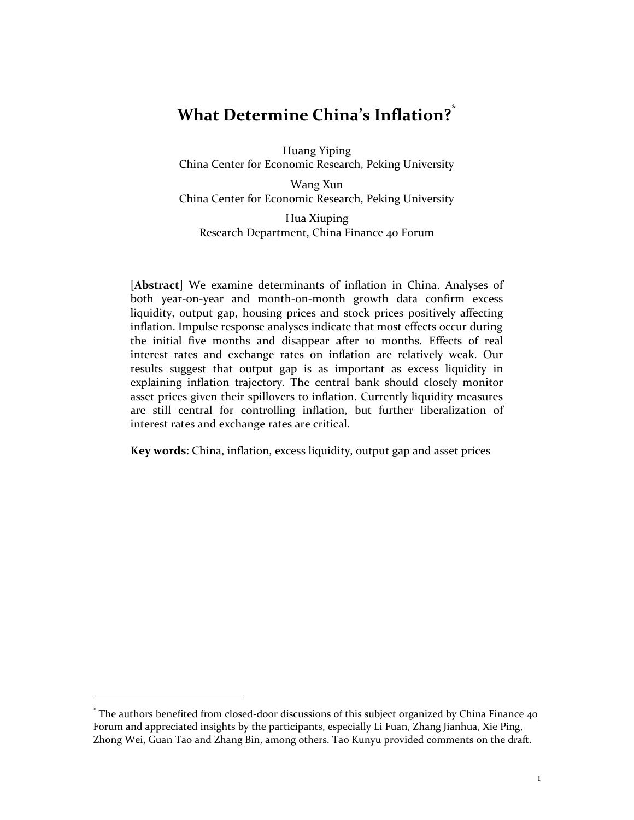# **What Determine China's Inflation?\***

Huang Yiping China Center for Economic Research, Peking University

Wang Xun China Center for Economic Research, Peking University

Hua Xiuping Research Department, China Finance 40 Forum

[**Abstract**] We examine determinants of inflation in China. Analyses of both year-on-year and month-on-month growth data confirm excess liquidity, output gap, housing prices and stock prices positively affecting inflation. Impulse response analyses indicate that most effects occur during the initial five months and disappear after 10 months. Effects of real interest rates and exchange rates on inflation are relatively weak. Our results suggest that output gap is as important as excess liquidity in explaining inflation trajectory. The central bank should closely monitor asset prices given their spillovers to inflation. Currently liquidity measures are still central for controlling inflation, but further liberalization of interest rates and exchange rates are critical.

**Key words**: China, inflation, excess liquidity, output gap and asset prices

 $\overline{a}$ 

<sup>\*</sup> The authors benefited from closed-door discussions of this subject organized by China Finance 40 Forum and appreciated insights by the participants, especially Li Fuan, Zhang Jianhua, Xie Ping, Zhong Wei, Guan Tao and Zhang Bin, among others. Tao Kunyu provided comments on the draft.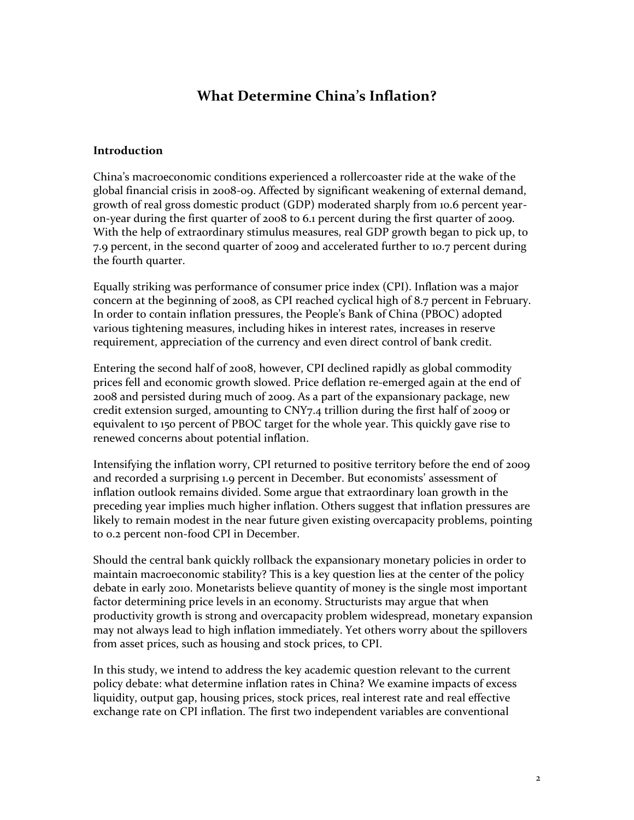# **What Determine China's Inflation?**

#### **Introduction**

China's macroeconomic conditions experienced a rollercoaster ride at the wake of the global financial crisis in 2008-09. Affected by significant weakening of external demand, growth of real gross domestic product (GDP) moderated sharply from 10.6 percent yearon-year during the first quarter of 2008 to 6.1 percent during the first quarter of 2009. With the help of extraordinary stimulus measures, real GDP growth began to pick up, to 7.9 percent, in the second quarter of 2009 and accelerated further to 10.7 percent during the fourth quarter.

Equally striking was performance of consumer price index (CPI). Inflation was a major concern at the beginning of 2008, as CPI reached cyclical high of 8.7 percent in February. In order to contain inflation pressures, the People's Bank of China (PBOC) adopted various tightening measures, including hikes in interest rates, increases in reserve requirement, appreciation of the currency and even direct control of bank credit.

Entering the second half of 2008, however, CPI declined rapidly as global commodity prices fell and economic growth slowed. Price deflation re-emerged again at the end of 2008 and persisted during much of 2009. As a part of the expansionary package, new credit extension surged, amounting to CNY7.4 trillion during the first half of 2009 or equivalent to 150 percent of PBOC target for the whole year. This quickly gave rise to renewed concerns about potential inflation.

Intensifying the inflation worry, CPI returned to positive territory before the end of 2009 and recorded a surprising 1.9 percent in December. But economists' assessment of inflation outlook remains divided. Some argue that extraordinary loan growth in the preceding year implies much higher inflation. Others suggest that inflation pressures are likely to remain modest in the near future given existing overcapacity problems, pointing to 0.2 percent non-food CPI in December.

Should the central bank quickly rollback the expansionary monetary policies in order to maintain macroeconomic stability? This is a key question lies at the center of the policy debate in early 2010. Monetarists believe quantity of money is the single most important factor determining price levels in an economy. Structurists may argue that when productivity growth is strong and overcapacity problem widespread, monetary expansion may not always lead to high inflation immediately. Yet others worry about the spillovers from asset prices, such as housing and stock prices, to CPI.

In this study, we intend to address the key academic question relevant to the current policy debate: what determine inflation rates in China? We examine impacts of excess liquidity, output gap, housing prices, stock prices, real interest rate and real effective exchange rate on CPI inflation. The first two independent variables are conventional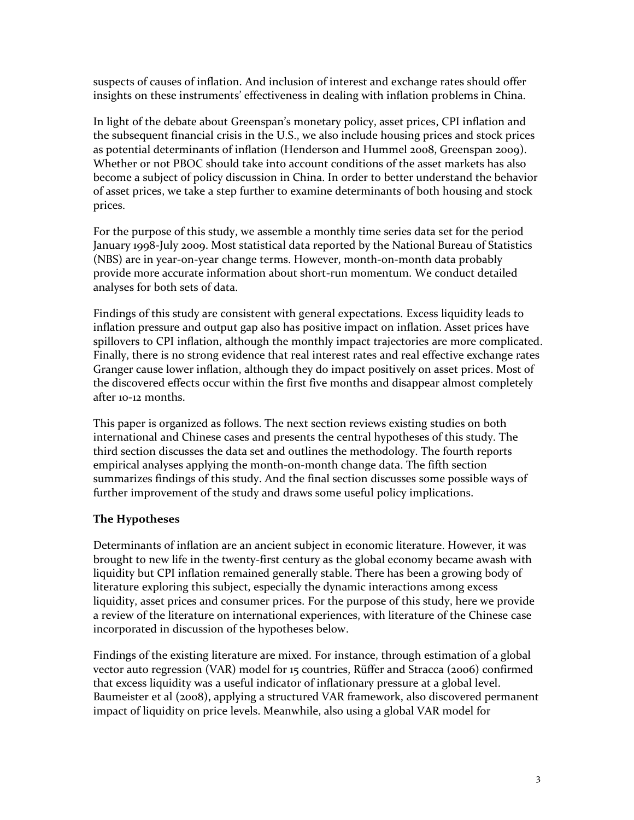suspects of causes of inflation. And inclusion of interest and exchange rates should offer insights on these instruments' effectiveness in dealing with inflation problems in China.

In light of the debate about Greenspan's monetary policy, asset prices, CPI inflation and the subsequent financial crisis in the U.S., we also include housing prices and stock prices as potential determinants of inflation (Henderson and Hummel 2008, Greenspan 2009). Whether or not PBOC should take into account conditions of the asset markets has also become a subject of policy discussion in China. In order to better understand the behavior of asset prices, we take a step further to examine determinants of both housing and stock prices.

For the purpose of this study, we assemble a monthly time series data set for the period January 1998-July 2009. Most statistical data reported by the National Bureau of Statistics (NBS) are in year-on-year change terms. However, month-on-month data probably provide more accurate information about short-run momentum. We conduct detailed analyses for both sets of data.

Findings of this study are consistent with general expectations. Excess liquidity leads to inflation pressure and output gap also has positive impact on inflation. Asset prices have spillovers to CPI inflation, although the monthly impact trajectories are more complicated. Finally, there is no strong evidence that real interest rates and real effective exchange rates Granger cause lower inflation, although they do impact positively on asset prices. Most of the discovered effects occur within the first five months and disappear almost completely after 10-12 months.

This paper is organized as follows. The next section reviews existing studies on both international and Chinese cases and presents the central hypotheses of this study. The third section discusses the data set and outlines the methodology. The fourth reports empirical analyses applying the month-on-month change data. The fifth section summarizes findings of this study. And the final section discusses some possible ways of further improvement of the study and draws some useful policy implications.

#### **The Hypotheses**

Determinants of inflation are an ancient subject in economic literature. However, it was brought to new life in the twenty-first century as the global economy became awash with liquidity but CPI inflation remained generally stable. There has been a growing body of literature exploring this subject, especially the dynamic interactions among excess liquidity, asset prices and consumer prices. For the purpose of this study, here we provide a review of the literature on international experiences, with literature of the Chinese case incorporated in discussion of the hypotheses below.

Findings of the existing literature are mixed. For instance, through estimation of a global vector auto regression (VAR) model for 15 countries, Rüffer and Stracca (2006) confirmed that excess liquidity was a useful indicator of inflationary pressure at a global level. Baumeister et al (2008), applying a structured VAR framework, also discovered permanent impact of liquidity on price levels. Meanwhile, also using a global VAR model for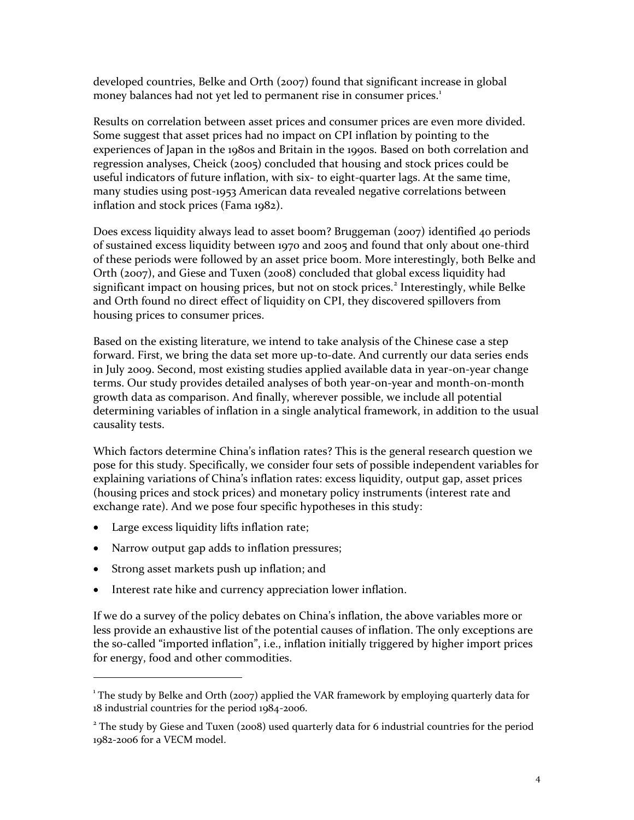developed countries, Belke and Orth (2007) found that significant increase in global money balances had not yet led to permanent rise in consumer prices.<sup>1</sup>

Results on correlation between asset prices and consumer prices are even more divided. Some suggest that asset prices had no impact on CPI inflation by pointing to the experiences of Japan in the 1980s and Britain in the 1990s. Based on both correlation and regression analyses, Cheick (2005) concluded that housing and stock prices could be useful indicators of future inflation, with six- to eight-quarter lags. At the same time, many studies using post-1953 American data revealed negative correlations between inflation and stock prices (Fama 1982).

Does excess liquidity always lead to asset boom? Bruggeman (2007) identified 40 periods of sustained excess liquidity between 1970 and 2005 and found that only about one-third of these periods were followed by an asset price boom. More interestingly, both Belke and Orth (2007), and Giese and Tuxen (2008) concluded that global excess liquidity had significant impact on housing prices, but not on stock prices.<sup>2</sup> Interestingly, while Belke and Orth found no direct effect of liquidity on CPI, they discovered spillovers from housing prices to consumer prices.

Based on the existing literature, we intend to take analysis of the Chinese case a step forward. First, we bring the data set more up-to-date. And currently our data series ends in July 2009. Second, most existing studies applied available data in year-on-year change terms. Our study provides detailed analyses of both year-on-year and month-on-month growth data as comparison. And finally, wherever possible, we include all potential determining variables of inflation in a single analytical framework, in addition to the usual causality tests.

Which factors determine China's inflation rates? This is the general research question we pose for this study. Specifically, we consider four sets of possible independent variables for explaining variations of China's inflation rates: excess liquidity, output gap, asset prices (housing prices and stock prices) and monetary policy instruments (interest rate and exchange rate). And we pose four specific hypotheses in this study:

Large excess liquidity lifts inflation rate;

l

- Narrow output gap adds to inflation pressures;
- Strong asset markets push up inflation; and
- Interest rate hike and currency appreciation lower inflation.

If we do a survey of the policy debates on China's inflation, the above variables more or less provide an exhaustive list of the potential causes of inflation. The only exceptions are the so-called "imported inflation", i.e., inflation initially triggered by higher import prices for energy, food and other commodities.

<sup>&</sup>lt;sup>1</sup> The study by Belke and Orth (2007) applied the VAR framework by employing quarterly data for 18 industrial countries for the period 1984-2006.

<sup>&</sup>lt;sup>2</sup> The study by Giese and Tuxen (2008) used quarterly data for 6 industrial countries for the period 1982-2006 for a VECM model.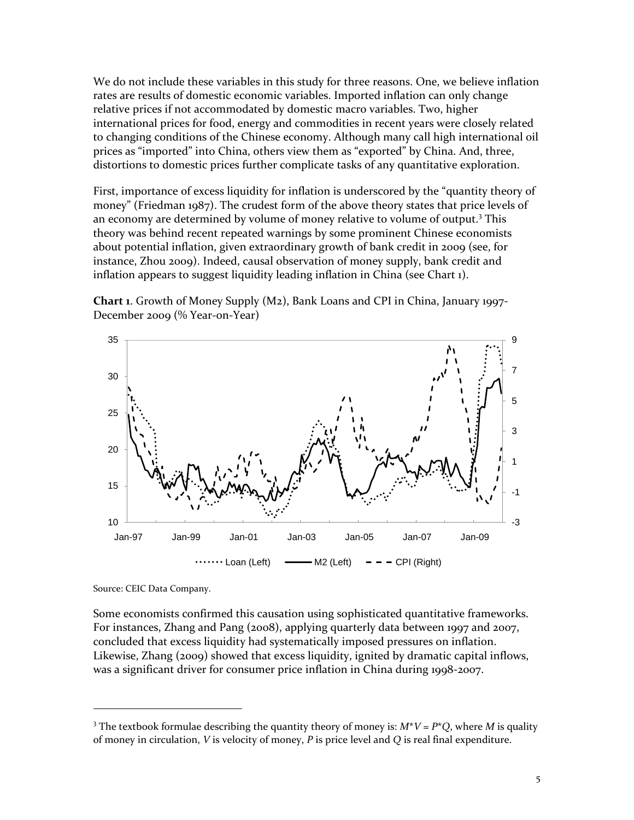We do not include these variables in this study for three reasons. One, we believe inflation rates are results of domestic economic variables. Imported inflation can only change relative prices if not accommodated by domestic macro variables. Two, higher international prices for food, energy and commodities in recent years were closely related to changing conditions of the Chinese economy. Although many call high international oil prices as "imported" into China, others view them as "exported" by China. And, three, distortions to domestic prices further complicate tasks of any quantitative exploration.

First, importance of excess liquidity for inflation is underscored by the "quantity theory of money" (Friedman 1987). The crudest form of the above theory states that price levels of an economy are determined by volume of money relative to volume of output.<sup>3</sup> This theory was behind recent repeated warnings by some prominent Chinese economists about potential inflation, given extraordinary growth of bank credit in 2009 (see, for instance, Zhou 2009). Indeed, causal observation of money supply, bank credit and inflation appears to suggest liquidity leading inflation in China (see Chart 1).

**Chart 1**. Growth of Money Supply (M2), Bank Loans and CPI in China, January 1997- December 2009 (% Year-on-Year)



Source: CEIC Data Company.

l

Some economists confirmed this causation using sophisticated quantitative frameworks. For instances, Zhang and Pang (2008), applying quarterly data between 1997 and 2007, concluded that excess liquidity had systematically imposed pressures on inflation. Likewise, Zhang (2009) showed that excess liquidity, ignited by dramatic capital inflows, was a significant driver for consumer price inflation in China during 1998-2007.

<sup>&</sup>lt;sup>3</sup> The textbook formulae describing the quantity theory of money is:  $M^*V = P^*Q$ , where *M* is quality of money in circulation, *V* is velocity of money, *P* is price level and *Q* is real final expenditure.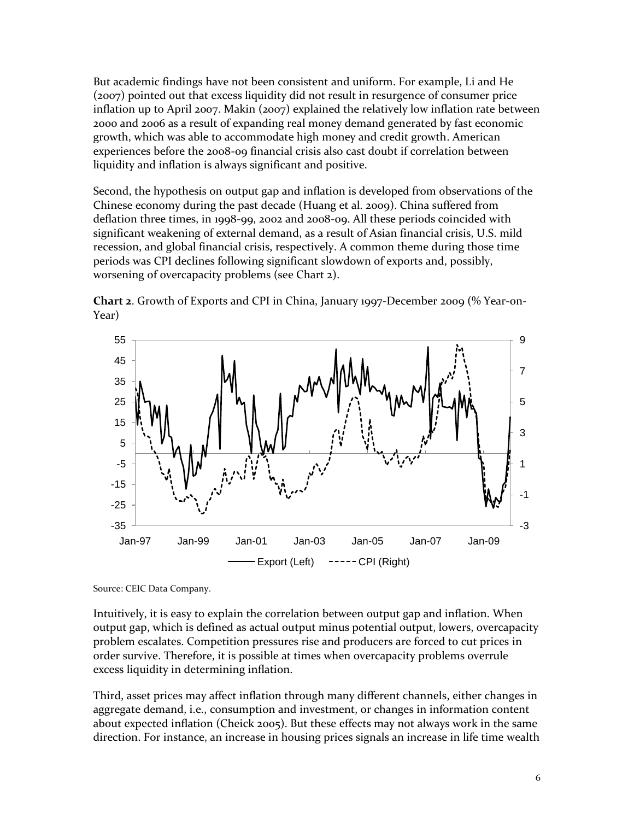But academic findings have not been consistent and uniform. For example, Li and He (2007) pointed out that excess liquidity did not result in resurgence of consumer price inflation up to April 2007. Makin (2007) explained the relatively low inflation rate between 2000 and 2006 as a result of expanding real money demand generated by fast economic growth, which was able to accommodate high money and credit growth. American experiences before the 2008-09 financial crisis also cast doubt if correlation between liquidity and inflation is always significant and positive.

Second, the hypothesis on output gap and inflation is developed from observations of the Chinese economy during the past decade (Huang et al. 2009). China suffered from deflation three times, in 1998-99, 2002 and 2008-09. All these periods coincided with significant weakening of external demand, as a result of Asian financial crisis, U.S. mild recession, and global financial crisis, respectively. A common theme during those time periods was CPI declines following significant slowdown of exports and, possibly, worsening of overcapacity problems (see Chart 2).





Source: CEIC Data Company.

Intuitively, it is easy to explain the correlation between output gap and inflation. When output gap, which is defined as actual output minus potential output, lowers, overcapacity problem escalates. Competition pressures rise and producers are forced to cut prices in order survive. Therefore, it is possible at times when overcapacity problems overrule excess liquidity in determining inflation.

Third, asset prices may affect inflation through many different channels, either changes in aggregate demand, i.e., consumption and investment, or changes in information content about expected inflation (Cheick 2005). But these effects may not always work in the same direction. For instance, an increase in housing prices signals an increase in life time wealth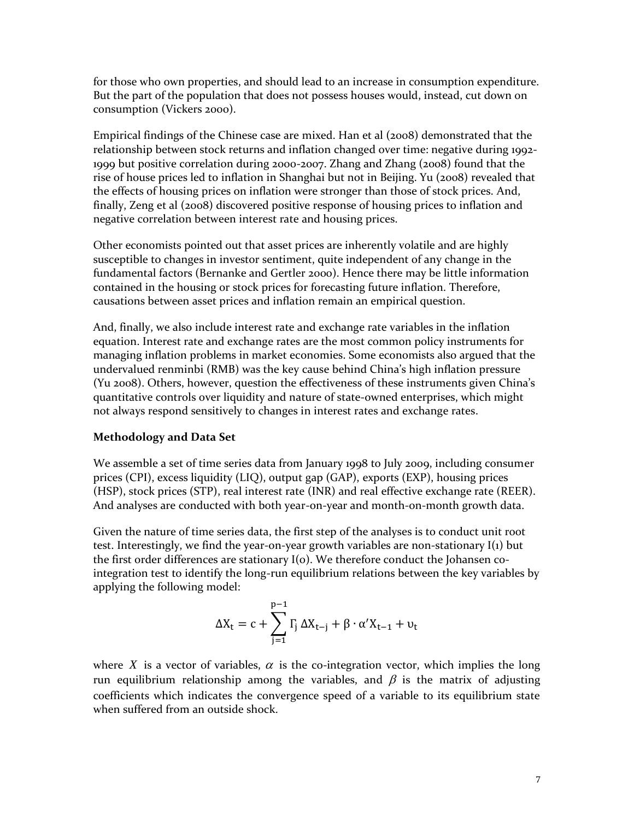for those who own properties, and should lead to an increase in consumption expenditure. But the part of the population that does not possess houses would, instead, cut down on consumption (Vickers 2000).

Empirical findings of the Chinese case are mixed. Han et al (2008) demonstrated that the relationship between stock returns and inflation changed over time: negative during 1992- 1999 but positive correlation during 2000-2007. Zhang and Zhang (2008) found that the rise of house prices led to inflation in Shanghai but not in Beijing. Yu (2008) revealed that the effects of housing prices on inflation were stronger than those of stock prices. And, finally, Zeng et al (2008) discovered positive response of housing prices to inflation and negative correlation between interest rate and housing prices.

Other economists pointed out that asset prices are inherently volatile and are highly susceptible to changes in investor sentiment, quite independent of any change in the fundamental factors (Bernanke and Gertler 2000). Hence there may be little information contained in the housing or stock prices for forecasting future inflation. Therefore, causations between asset prices and inflation remain an empirical question.

And, finally, we also include interest rate and exchange rate variables in the inflation equation. Interest rate and exchange rates are the most common policy instruments for managing inflation problems in market economies. Some economists also argued that the undervalued renminbi (RMB) was the key cause behind China's high inflation pressure (Yu 2008). Others, however, question the effectiveness of these instruments given China's quantitative controls over liquidity and nature of state-owned enterprises, which might not always respond sensitively to changes in interest rates and exchange rates.

#### **Methodology and Data Set**

We assemble a set of time series data from January 1998 to July 2009, including consumer prices (CPI), excess liquidity (LIQ), output gap (GAP), exports (EXP), housing prices (HSP), stock prices (STP), real interest rate (INR) and real effective exchange rate (REER). And analyses are conducted with both year-on-year and month-on-month growth data.

Given the nature of time series data, the first step of the analyses is to conduct unit root test. Interestingly, we find the year-on-year growth variables are non-stationary  $I(1)$  but the first order differences are stationary I(0). We therefore conduct the Johansen cointegration test to identify the long-run equilibrium relations between the key variables by applying the following model:

$$
\Delta X_t = c + \sum_{j=1}^{p-1} \Gamma_j \, \Delta X_{t-j} + \beta \cdot \alpha' X_{t-1} + \upsilon_t
$$

where  $X$  is a vector of variables,  $\alpha$  is the co-integration vector, which implies the long run equilibrium relationship among the variables, and  $\beta$  is the matrix of adjusting coefficients which indicates the convergence speed of a variable to its equilibrium state when suffered from an outside shock.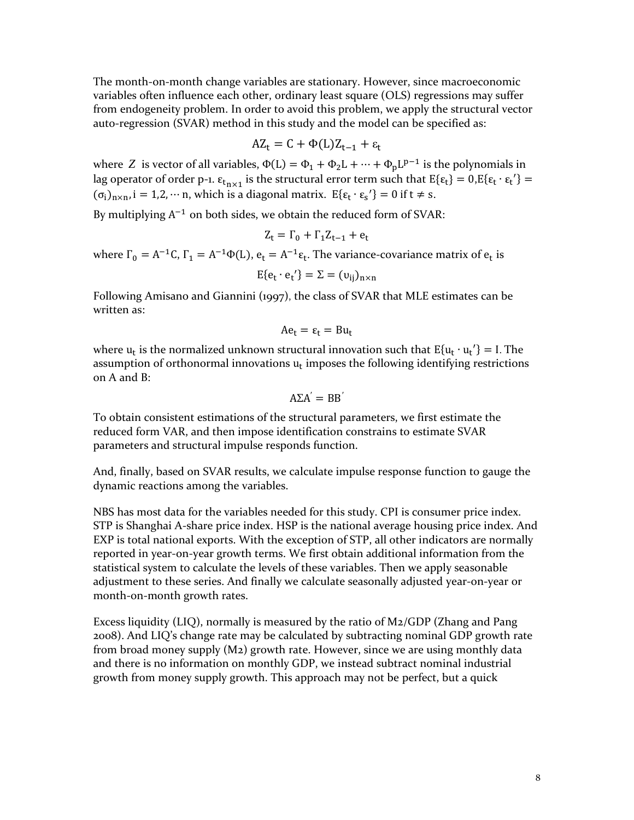The month-on-month change variables are stationary. However, since macroeconomic variables often influence each other, ordinary least square (OLS) regressions may suffer from endogeneity problem. In order to avoid this problem, we apply the structural vector auto-regression (SVAR) method in this study and the model can be specified as:

$$
AZ_t = C + \Phi(L)Z_{t-1} + \varepsilon_t
$$

where Z is vector of all variables,  $\Phi(L) = \Phi_1 + \Phi_2 L + \cdots + \Phi_p L^{p-1}$  is the polynomials in lag operator of order p-1.  $\varepsilon_{t_n \times 1}$  is the structural error term such that  $E\{\varepsilon_t\} = 0, E\{\varepsilon_t \cdot \varepsilon_t\}$  $(\sigma_i)_{n \times n}$ , i = 1,2, ... n, which is a diagonal matrix.  $E\{\varepsilon_t \cdot \varepsilon_s\} = 0$  if  $t \neq s$ .

By multiplying  $A^{-1}$  on both sides, we obtain the reduced form of SVAR:

$$
Z_t = \Gamma_0 + \Gamma_1 Z_{t-1} + e_t
$$

where  $\Gamma_0 = A^{-1}C$ ,  $\Gamma_1 = A^{-1}\Phi(L)$ ,  $e_t = A^{-1}\varepsilon_t$ . The variance-covariance matrix of  $e_t$  is

$$
E\{e_t \cdot e_t'\} = \Sigma = (v_{ij})_{n \times n}
$$

Following Amisano and Giannini (1997), the class of SVAR that MLE estimates can be written as:

$$
Ae_t = \varepsilon_t = Bu_t
$$

where  $u_t$  is the normalized unknown structural innovation such that  $E{u_t \cdot u_t'} = I$ . The assumption of orthonormal innovations  $u_t$  imposes the following identifying restrictions on A and B:

$$
A\Sigma A^{'} = BB^{'}
$$

To obtain consistent estimations of the structural parameters, we first estimate the reduced form VAR, and then impose identification constrains to estimate SVAR parameters and structural impulse responds function.

And, finally, based on SVAR results, we calculate impulse response function to gauge the dynamic reactions among the variables.

NBS has most data for the variables needed for this study. CPI is consumer price index. STP is Shanghai A-share price index. HSP is the national average housing price index. And EXP is total national exports. With the exception of STP, all other indicators are normally reported in year-on-year growth terms. We first obtain additional information from the statistical system to calculate the levels of these variables. Then we apply seasonable adjustment to these series. And finally we calculate seasonally adjusted year-on-year or month-on-month growth rates.

Excess liquidity (LIQ), normally is measured by the ratio of M2/GDP (Zhang and Pang 2008). And LIQ's change rate may be calculated by subtracting nominal GDP growth rate from broad money supply (M2) growth rate. However, since we are using monthly data and there is no information on monthly GDP, we instead subtract nominal industrial growth from money supply growth. This approach may not be perfect, but a quick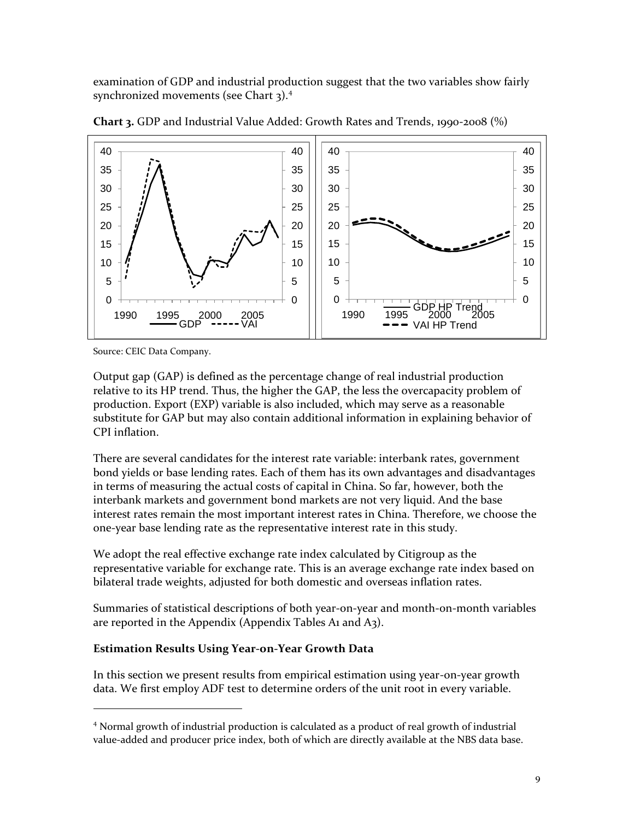examination of GDP and industrial production suggest that the two variables show fairly synchronized movements (see Chart ).<sup>4</sup>



**Chart 3.** GDP and Industrial Value Added: Growth Rates and Trends, 1990-2008 (%)

Source: CEIC Data Company.

l

Output gap (GAP) is defined as the percentage change of real industrial production relative to its HP trend. Thus, the higher the GAP, the less the overcapacity problem of production. Export (EXP) variable is also included, which may serve as a reasonable substitute for GAP but may also contain additional information in explaining behavior of CPI inflation.

There are several candidates for the interest rate variable: interbank rates, government bond yields or base lending rates. Each of them has its own advantages and disadvantages in terms of measuring the actual costs of capital in China. So far, however, both the interbank markets and government bond markets are not very liquid. And the base interest rates remain the most important interest rates in China. Therefore, we choose the one-year base lending rate as the representative interest rate in this study.

We adopt the real effective exchange rate index calculated by Citigroup as the representative variable for exchange rate. This is an average exchange rate index based on bilateral trade weights, adjusted for both domestic and overseas inflation rates.

Summaries of statistical descriptions of both year-on-year and month-on-month variables are reported in the Appendix (Appendix Tables A1 and A3).

## **Estimation Results Using Year-on-Year Growth Data**

In this section we present results from empirical estimation using year-on-year growth data. We first employ ADF test to determine orders of the unit root in every variable.

 Normal growth of industrial production is calculated as a product of real growth of industrial value-added and producer price index, both of which are directly available at the NBS data base.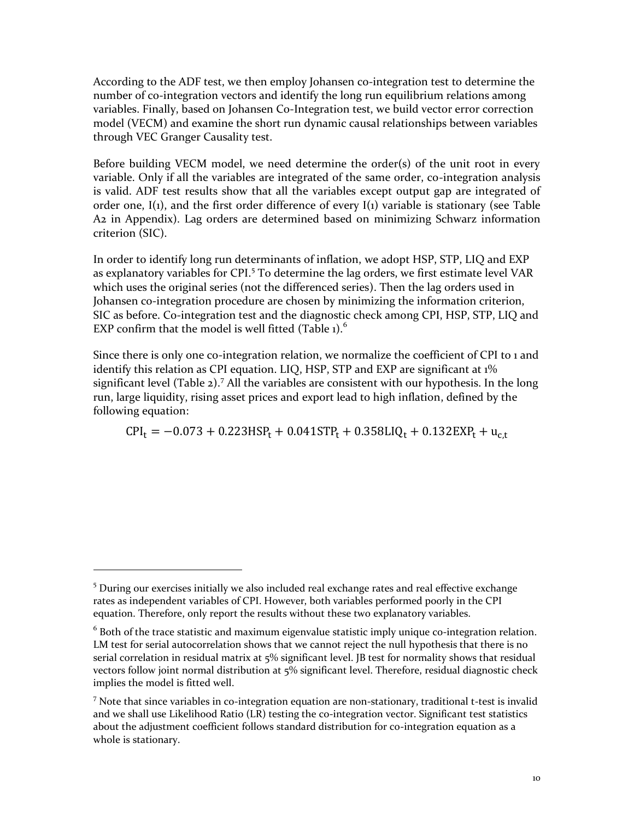According to the ADF test, we then employ Johansen co-integration test to determine the number of co-integration vectors and identify the long run equilibrium relations among variables. Finally, based on Johansen Co-Integration test, we build vector error correction model (VECM) and examine the short run dynamic causal relationships between variables through VEC Granger Causality test.

Before building VECM model, we need determine the order(s) of the unit root in every variable. Only if all the variables are integrated of the same order, co-integration analysis is valid. ADF test results show that all the variables except output gap are integrated of order one, I(1), and the first order difference of every I(1) variable is stationary (see Table A2 in Appendix). Lag orders are determined based on minimizing Schwarz information criterion (SIC).

In order to identify long run determinants of inflation, we adopt HSP, STP, LIQ and EXP as explanatory variables for CPI.<sup>5</sup> To determine the lag orders, we first estimate level VAR which uses the original series (not the differenced series). Then the lag orders used in Johansen co-integration procedure are chosen by minimizing the information criterion, SIC as before. Co-integration test and the diagnostic check among CPI, HSP, STP, LIQ and EXP confirm that the model is well fitted (Table 1).<sup>6</sup>

Since there is only one co-integration relation, we normalize the coefficient of CPI to 1 and identify this relation as CPI equation. LIQ, HSP, STP and EXP are significant at 1% significant level (Table  $2$ ).<sup>7</sup> All the variables are consistent with our hypothesis. In the long run, large liquidity, rising asset prices and export lead to high inflation, defined by the following equation:

 $CPI_t = -0.073 + 0.223HSP_t + 0.041STP_t + 0.358LIQ_t + 0.132EXP_t + u_{c,t}$ 

l

 $5$  During our exercises initially we also included real exchange rates and real effective exchange rates as independent variables of CPI. However, both variables performed poorly in the CPI equation. Therefore, only report the results without these two explanatory variables.

 $6$  Both of the trace statistic and maximum eigenvalue statistic imply unique co-integration relation. LM test for serial autocorrelation shows that we cannot reject the null hypothesis that there is no serial correlation in residual matrix at 5% significant level. JB test for normality shows that residual vectors follow joint normal distribution at 5% significant level. Therefore, residual diagnostic check implies the model is fitted well.

<sup>&</sup>lt;sup>7</sup> Note that since variables in co-integration equation are non-stationary, traditional t-test is invalid and we shall use Likelihood Ratio (LR) testing the co-integration vector. Significant test statistics about the adjustment coefficient follows standard distribution for co-integration equation as a whole is stationary.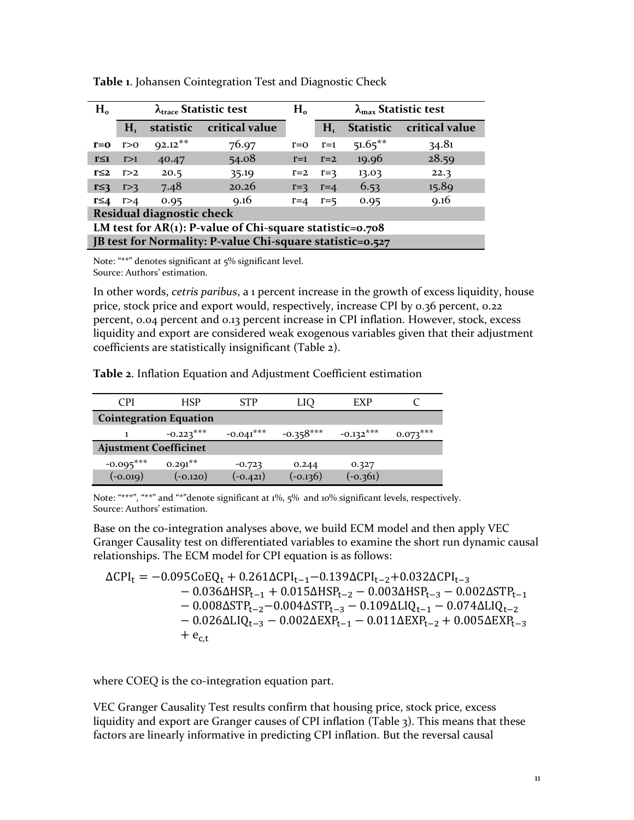| H <sub>o</sub> | $\lambda_{\text{trace}}$ Statistic test |           |                                                             | $H_{o}$     | $\lambda_{\text{max}}$ Statistic test |                  |                |  |  |
|----------------|-----------------------------------------|-----------|-------------------------------------------------------------|-------------|---------------------------------------|------------------|----------------|--|--|
|                | H <sub>1</sub>                          | statistic | critical value                                              |             | H <sub>1</sub>                        | <b>Statistic</b> | critical value |  |  |
| $r = 0$        | r > 0                                   | $92.12**$ | 76.97                                                       | $r = 0$     | $r=1$                                 | $51.65***$       | 34.81          |  |  |
| $r \leq 1$     | r > 1                                   | 40.47     | 54.08                                                       | $r=1$       | $r=2$                                 | 19.96            | 28.59          |  |  |
| $r \leq 2$     | r > 2                                   | 20.5      | 35.19                                                       | $r = 2$     | $r = 3$                               | 13.03            | 22.3           |  |  |
| $r \leq 3$     | r > 3                                   | 7.48      | 20.26                                                       | $r = 3$     | $r=4$                                 | 6.53             | 15.89          |  |  |
| $r \leq 4$     | r > 4                                   | 0.95      | 9.16                                                        | $r=4$ $r=5$ |                                       | 0.95             | 9.16           |  |  |
|                | <b>Residual diagnostic check</b>        |           |                                                             |             |                                       |                  |                |  |  |
|                |                                         |           | LM test for $AR(1)$ : P-value of Chi-square statistic=0.708 |             |                                       |                  |                |  |  |
|                |                                         |           | JB test for Normality: P-value Chi-square statistic=0.527   |             |                                       |                  |                |  |  |

**Table 1**. Johansen Cointegration Test and Diagnostic Check

Note: "\*\*" denotes significant at 5% significant level. Source: Authors' estimation.

In other words, *cetris paribus*, a 1 percent increase in the growth of excess liquidity, house price, stock price and export would, respectively, increase CPI by 0.36 percent, 0.22 percent, 0.04 percent and 0.13 percent increase in CPI inflation. However, stock, excess liquidity and export are considered weak exogenous variables given that their adjustment coefficients are statistically insignificant (Table 2).

**Table 2**. Inflation Equation and Adjustment Coefficient estimation

| CPI                           | <b>HSP</b>  | STP         |             | EXP         |            |  |  |  |
|-------------------------------|-------------|-------------|-------------|-------------|------------|--|--|--|
| <b>Cointegration Equation</b> |             |             |             |             |            |  |  |  |
|                               | $-0.223***$ | $-0.041***$ | $-0.358***$ | $-0.132***$ | $0.073***$ |  |  |  |
| <b>Ajustment Coefficinet</b>  |             |             |             |             |            |  |  |  |
| $-0.095***$                   | $0.291**$   | $-0.723$    | 0.244       | 0.327       |            |  |  |  |
| $(-0.019)$                    | $(-0.120)$  | $-O.421)$   | $(-0.136)$  | $(-0.361)$  |            |  |  |  |

Note: "\*\*\*", "\*\*" and "\*"denote significant at 1%, 5% and 10% significant levels, respectively. Source: Authors' estimation.

Base on the co-integration analyses above, we build ECM model and then apply VEC Granger Causality test on differentiated variables to examine the short run dynamic causal relationships. The ECM model for CPI equation is as follows:

 $\Delta$ CPI<sub>t</sub> = -0.095CoEQ<sub>t</sub> + 0.261 $\Delta$ CPI<sub>t-1</sub>-0.139 $\Delta$ CPI<sub>t-2</sub>+0.032 $\Delta$ CPI<sub>t-3</sub>  $-0.036\Delta HSP_{t-1} + 0.015\Delta HSP_{t-2} - 0.003\Delta HSP_{t-3} - 0.002\Delta STP_{t-1}$  $-0.008\Delta STP_{t-2}-0.004\Delta STP_{t-3}-0.109\Delta LIQ_{t-1}-0.074\Delta LIQ_{t-2}$  $-0.026\Delta L IQ_{t-3} - 0.002\Delta EXP_{t-1} - 0.011\Delta EXP_{t-2} + 0.005\Delta EXP_{t-3}$  $+$   $e_{c,t}$ 

where COEQ is the co-integration equation part.

VEC Granger Causality Test results confirm that housing price, stock price, excess liquidity and export are Granger causes of CPI inflation (Table 3). This means that these factors are linearly informative in predicting CPI inflation. But the reversal causal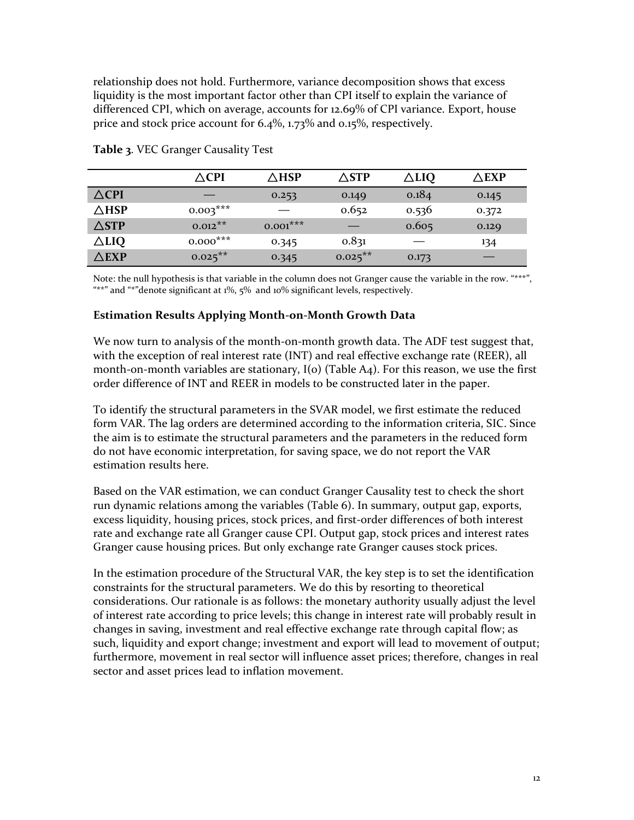relationship does not hold. Furthermore, variance decomposition shows that excess liquidity is the most important factor other than CPI itself to explain the variance of differenced CPI, which on average, accounts for 12.69% of CPI variance. Export, house price and stock price account for 6.4%, 1.73% and 0.15%, respectively.

|                     | ∧срі          | ∧hsp       | $\bigtriangleup$ STP | ∆LIQ  | ∧exp  |
|---------------------|---------------|------------|----------------------|-------|-------|
| $\triangle$ CPI     |               | 0.253      | 0.149                | 0.184 | 0.145 |
| $\Delta$ HSP        | $0.003***$    |            | 0.652                | 0.536 | 0.372 |
| $\triangle$ STP     | $0.012**$     | $0.001***$ |                      | 0.605 | 0.129 |
| $\Delta \text{LIQ}$ | $0.000^{***}$ | 0.345      | 0.831                |       | 134   |
| $\wedge$ EXP        | $0.025***$    | 0.345      | $0.025***$           | 0.173 |       |

**Table 3**. VEC Granger Causality Test

Note: the null hypothesis is that variable in the column does not Granger cause the variable in the row. "\*\*\*", "\*\*" and "\*"denote significant at 1%, 5% and 10% significant levels, respectively.

#### **Estimation Results Applying Month-on-Month Growth Data**

We now turn to analysis of the month-on-month growth data. The ADF test suggest that, with the exception of real interest rate (INT) and real effective exchange rate (REER), all month-on-month variables are stationary,  $I(\rho)$  (Table A4). For this reason, we use the first order difference of INT and REER in models to be constructed later in the paper.

To identify the structural parameters in the SVAR model, we first estimate the reduced form VAR. The lag orders are determined according to the information criteria, SIC. Since the aim is to estimate the structural parameters and the parameters in the reduced form do not have economic interpretation, for saving space, we do not report the VAR estimation results here.

Based on the VAR estimation, we can conduct Granger Causality test to check the short run dynamic relations among the variables (Table 6). In summary, output gap, exports, excess liquidity, housing prices, stock prices, and first-order differences of both interest rate and exchange rate all Granger cause CPI. Output gap, stock prices and interest rates Granger cause housing prices. But only exchange rate Granger causes stock prices.

In the estimation procedure of the Structural VAR, the key step is to set the identification constraints for the structural parameters. We do this by resorting to theoretical considerations. Our rationale is as follows: the monetary authority usually adjust the level of interest rate according to price levels; this change in interest rate will probably result in changes in saving, investment and real effective exchange rate through capital flow; as such, liquidity and export change; investment and export will lead to movement of output; furthermore, movement in real sector will influence asset prices; therefore, changes in real sector and asset prices lead to inflation movement.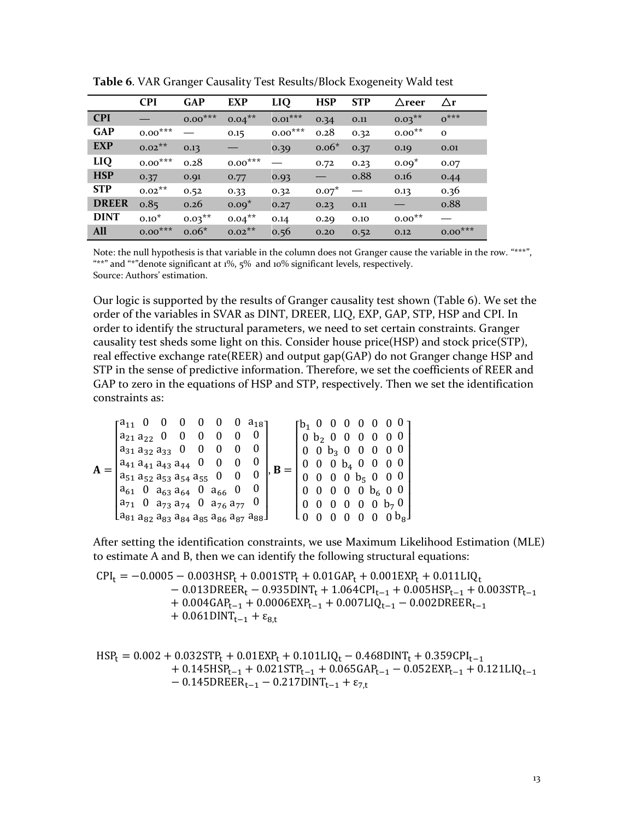|              | <b>CPI</b>   | GAP       | <b>EXP</b> | LIQ                      | <b>HSP</b> | <b>STP</b> | $\Delta$ reer | $\Delta$ r |
|--------------|--------------|-----------|------------|--------------------------|------------|------------|---------------|------------|
| <b>CPI</b>   |              | $0.00***$ | $0.04***$  | $0.01***$                | 0.34       | 0.11       | $0.03***$     | $0***$     |
| <b>GAP</b>   | $0.00^{***}$ |           | 0.15       | $0.00***$                | 0.28       | 0.32       | $0.00^{**}$   | $\Omega$   |
| <b>EXP</b>   | $0.02$ **    | 0.13      |            | 0.39                     | $0.06*$    | 0.37       | 0.19          | 0.01       |
| LIQ          | $0.00***$    | 0.28      | $0.00***$  | $\overline{\phantom{0}}$ | 0.72       | 0.23       | $0.09^*$      | 0.07       |
| <b>HSP</b>   | 0.37         | 0.91      | 0.77       | 0.93                     |            | o.88       | 0.16          | 0.44       |
| <b>STP</b>   | $0.02***$    | 0.52      | 0.33       | 0.32                     | $0.07*$    |            | 0.13          | 0.36       |
| <b>DREER</b> | 0.85         | 0.26      | $0.09^*$   | 0.27                     | 0.23       | 0.11       |               | o.88       |
| <b>DINT</b>  | $0.10^*$     | $0.03***$ | $0.04***$  | 0.14                     | 0.29       | 0.10       | $0.00^{**}$   |            |
| <b>All</b>   | $0.00***$    | $0.06*$   | $0.02**$   | 0.56                     | 0.20       | 0.52       | 0.12          | $0.00***$  |

**Table 6**. VAR Granger Causality Test Results/Block Exogeneity Wald test

Note: the null hypothesis is that variable in the column does not Granger cause the variable in the row. "\*\*\*", "\*\*" and "\*"denote significant at 1%, 5% and 10% significant levels, respectively. Source: Authors' estimation.

Our logic is supported by the results of Granger causality test shown (Table 6). We set the order of the variables in SVAR as DINT, DREER, LIQ, EXP, GAP, STP, HSP and CPI. In order to identify the structural parameters, we need to set certain constraints. Granger causality test sheds some light on this. Consider house price(HSP) and stock price(STP), real effective exchange rate(REER) and output gap(GAP) do not Granger change HSP and STP in the sense of predictive information. Therefore, we set the coefficients of REER and GAP to zero in the equations of HSP and STP, respectively. Then we set the identification constraints as:

$$
A = \begin{bmatrix} a_{11} & 0 & 0 & 0 & 0 & 0 & 0 & a_{18} \\ a_{21} & a_{22} & 0 & 0 & 0 & 0 & 0 & 0 \\ a_{31} & a_{32} & a_{33} & 0 & 0 & 0 & 0 & 0 \\ a_{41} & a_{41} & a_{43} & a_{44} & 0 & 0 & 0 & 0 \\ a_{51} & a_{52} & a_{53} & a_{54} & a_{55} & 0 & 0 & 0 \\ a_{61} & 0 & a_{63} & a_{64} & 0 & a_{66} & 0 & 0 \\ a_{71} & 0 & a_{73} & a_{74} & 0 & a_{76} & a_{77} & 0 \\ a_{81} & a_{82} & a_{83} & a_{84} & a_{85} & a_{86} & a_{87} & a_{88} \end{bmatrix}, B = \begin{bmatrix} b_1 & 0 & 0 & 0 & 0 & 0 & 0 \\ 0 & b_2 & 0 & 0 & 0 & 0 & 0 & 0 \\ 0 & 0 & b_3 & 0 & 0 & 0 & 0 & 0 \\ 0 & 0 & 0 & b_4 & 0 & 0 & 0 & 0 \\ 0 & 0 & 0 & 0 & b_5 & 0 & 0 & 0 \\ 0 & 0 & 0 & 0 & 0 & b_6 & 0 & 0 \\ 0 & 0 & 0 & 0 & 0 & 0 & b_7 & 0 \\ 0 & 0 & 0 & 0 & 0 & 0 & 0 & b_8 \end{bmatrix}
$$

After setting the identification constraints, we use Maximum Likelihood Estimation (MLE) to estimate A and B, then we can identify the following structural equations:

 $CPI_t = -0.0005 - 0.003HSP_t + 0.001STP_t + 0.01GAP_t + 0.001EXP_t + 0.011LIQ_t$  $-0.013DREER_t - 0.935DINT_t + 1.064CPI_{t-1} + 0.005HSP_{t-1} + 0.003STP_{t-1}$ +  $0.004GAP_{t-1}$  +  $0.0006EXP_{t-1}$  +  $0.007LIQ_{t-1}$  -  $0.002DREER_{t-1}$ +  $0.061$ DINT<sub>t-1</sub> +  $\varepsilon_{8,t}$ 

 $HSP_t = 0.002 + 0.032STP_t + 0.01EXP_t + 0.101LIQ_t - 0.468DINT_t + 0.359CPI_{t-1}$ +  $0.145HSP_{t-1}$  +  $0.021STP_{t-1}$  +  $0.065GAP_{t-1}$  -  $0.052EXP_{t-1}$  +  $0.121LIQ_{t-1}$  $-0.145DREER_{t-1} - 0.217DINT_{t-1} + \varepsilon_{7,t}$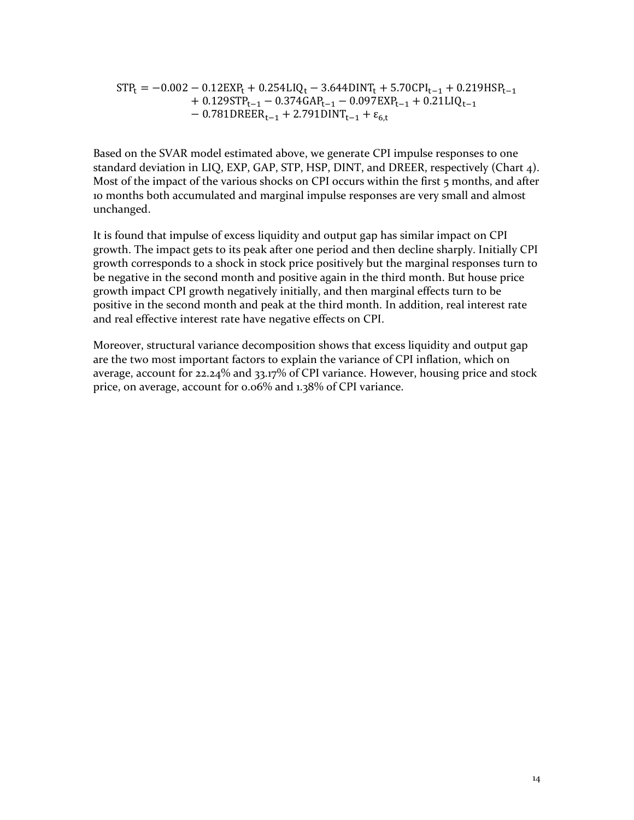$STP_t = -0.002 - 0.12EXP_t + 0.254LIQ_t - 3.644DINT_t + 5.70CPI_{t-1} + 0.219HSP_{t-1}$ +  $0.129STP_{t-1} - 0.374GAP_{t-1} - 0.097EXP_{t-1} + 0.21LIQ_{t-1}$  $-0.781DREER_{t-1} + 2.791DINT_{t-1} + \varepsilon_{6,t}$ 

Based on the SVAR model estimated above, we generate CPI impulse responses to one standard deviation in LIQ, EXP, GAP, STP, HSP, DINT, and DREER, respectively (Chart 4). Most of the impact of the various shocks on CPI occurs within the first 5 months, and after 10 months both accumulated and marginal impulse responses are very small and almost unchanged.

It is found that impulse of excess liquidity and output gap has similar impact on CPI growth. The impact gets to its peak after one period and then decline sharply. Initially CPI growth corresponds to a shock in stock price positively but the marginal responses turn to be negative in the second month and positive again in the third month. But house price growth impact CPI growth negatively initially, and then marginal effects turn to be positive in the second month and peak at the third month. In addition, real interest rate and real effective interest rate have negative effects on CPI.

Moreover, structural variance decomposition shows that excess liquidity and output gap are the two most important factors to explain the variance of CPI inflation, which on average, account for 22.24% and 33.17% of CPI variance. However, housing price and stock price, on average, account for 0.06% and 1.38% of CPI variance.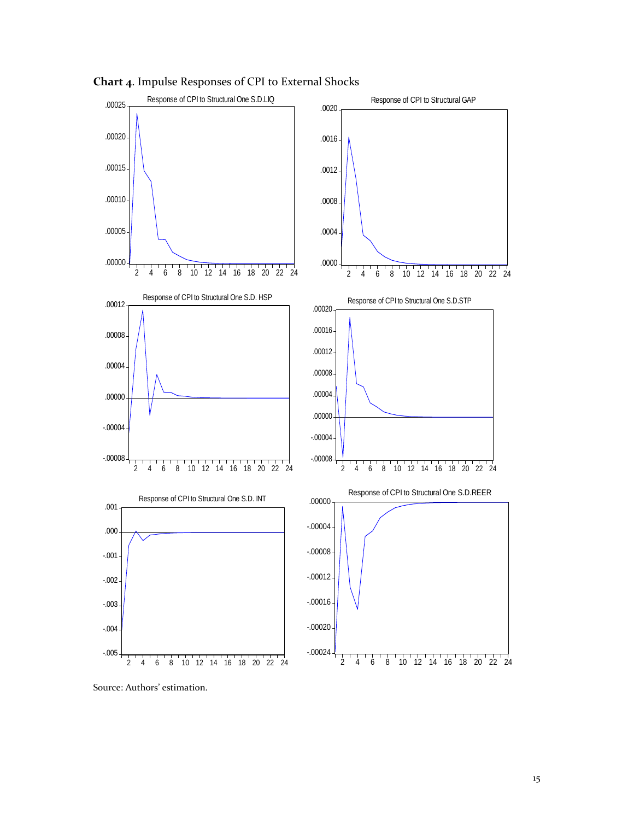

**Chart 4**. Impulse Responses of CPI to External Shocks

Source: Authors' estimation.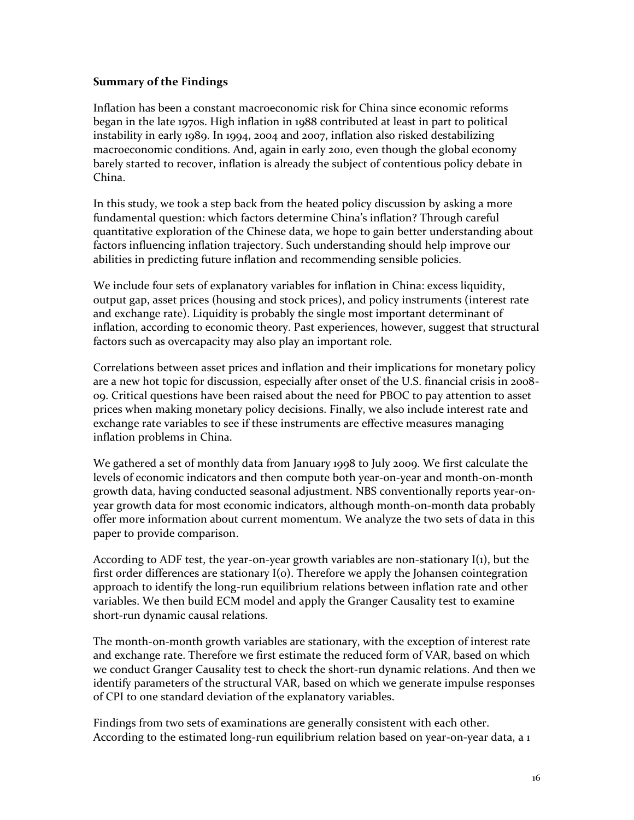#### **Summary of the Findings**

Inflation has been a constant macroeconomic risk for China since economic reforms began in the late 1970s. High inflation in 1988 contributed at least in part to political instability in early 1989. In 1994, 2004 and 2007, inflation also risked destabilizing macroeconomic conditions. And, again in early 2010, even though the global economy barely started to recover, inflation is already the subject of contentious policy debate in China.

In this study, we took a step back from the heated policy discussion by asking a more fundamental question: which factors determine China's inflation? Through careful quantitative exploration of the Chinese data, we hope to gain better understanding about factors influencing inflation trajectory. Such understanding should help improve our abilities in predicting future inflation and recommending sensible policies.

We include four sets of explanatory variables for inflation in China: excess liquidity, output gap, asset prices (housing and stock prices), and policy instruments (interest rate and exchange rate). Liquidity is probably the single most important determinant of inflation, according to economic theory. Past experiences, however, suggest that structural factors such as overcapacity may also play an important role.

Correlations between asset prices and inflation and their implications for monetary policy are a new hot topic for discussion, especially after onset of the U.S. financial crisis in 2008- 09. Critical questions have been raised about the need for PBOC to pay attention to asset prices when making monetary policy decisions. Finally, we also include interest rate and exchange rate variables to see if these instruments are effective measures managing inflation problems in China.

We gathered a set of monthly data from January 1998 to July 2009. We first calculate the levels of economic indicators and then compute both year-on-year and month-on-month growth data, having conducted seasonal adjustment. NBS conventionally reports year-onyear growth data for most economic indicators, although month-on-month data probably offer more information about current momentum. We analyze the two sets of data in this paper to provide comparison.

According to ADF test, the year-on-year growth variables are non-stationary I(1), but the first order differences are stationary  $I$ (o). Therefore we apply the Johansen cointegration approach to identify the long-run equilibrium relations between inflation rate and other variables. We then build ECM model and apply the Granger Causality test to examine short-run dynamic causal relations.

The month-on-month growth variables are stationary, with the exception of interest rate and exchange rate. Therefore we first estimate the reduced form of VAR, based on which we conduct Granger Causality test to check the short-run dynamic relations. And then we identify parameters of the structural VAR, based on which we generate impulse responses of CPI to one standard deviation of the explanatory variables.

Findings from two sets of examinations are generally consistent with each other. According to the estimated long-run equilibrium relation based on year-on-year data, a 1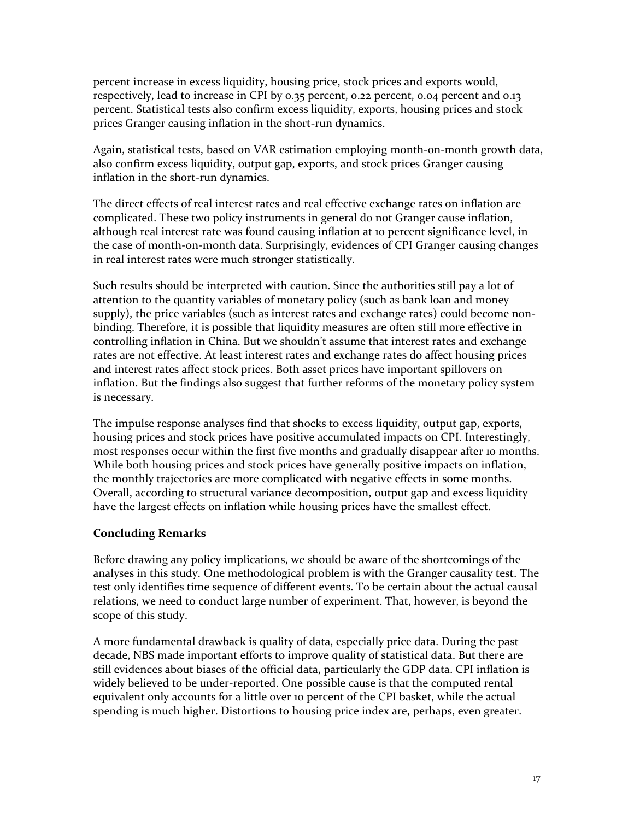percent increase in excess liquidity, housing price, stock prices and exports would, respectively, lead to increase in CPI by 0.35 percent, 0.22 percent, 0.04 percent and 0.13 percent. Statistical tests also confirm excess liquidity, exports, housing prices and stock prices Granger causing inflation in the short-run dynamics.

Again, statistical tests, based on VAR estimation employing month-on-month growth data, also confirm excess liquidity, output gap, exports, and stock prices Granger causing inflation in the short-run dynamics.

The direct effects of real interest rates and real effective exchange rates on inflation are complicated. These two policy instruments in general do not Granger cause inflation, although real interest rate was found causing inflation at 10 percent significance level, in the case of month-on-month data. Surprisingly, evidences of CPI Granger causing changes in real interest rates were much stronger statistically.

Such results should be interpreted with caution. Since the authorities still pay a lot of attention to the quantity variables of monetary policy (such as bank loan and money supply), the price variables (such as interest rates and exchange rates) could become nonbinding. Therefore, it is possible that liquidity measures are often still more effective in controlling inflation in China. But we shouldn't assume that interest rates and exchange rates are not effective. At least interest rates and exchange rates do affect housing prices and interest rates affect stock prices. Both asset prices have important spillovers on inflation. But the findings also suggest that further reforms of the monetary policy system is necessary.

The impulse response analyses find that shocks to excess liquidity, output gap, exports, housing prices and stock prices have positive accumulated impacts on CPI. Interestingly, most responses occur within the first five months and gradually disappear after 10 months. While both housing prices and stock prices have generally positive impacts on inflation, the monthly trajectories are more complicated with negative effects in some months. Overall, according to structural variance decomposition, output gap and excess liquidity have the largest effects on inflation while housing prices have the smallest effect.

## **Concluding Remarks**

Before drawing any policy implications, we should be aware of the shortcomings of the analyses in this study. One methodological problem is with the Granger causality test. The test only identifies time sequence of different events. To be certain about the actual causal relations, we need to conduct large number of experiment. That, however, is beyond the scope of this study.

A more fundamental drawback is quality of data, especially price data. During the past decade, NBS made important efforts to improve quality of statistical data. But there are still evidences about biases of the official data, particularly the GDP data. CPI inflation is widely believed to be under-reported. One possible cause is that the computed rental equivalent only accounts for a little over 10 percent of the CPI basket, while the actual spending is much higher. Distortions to housing price index are, perhaps, even greater.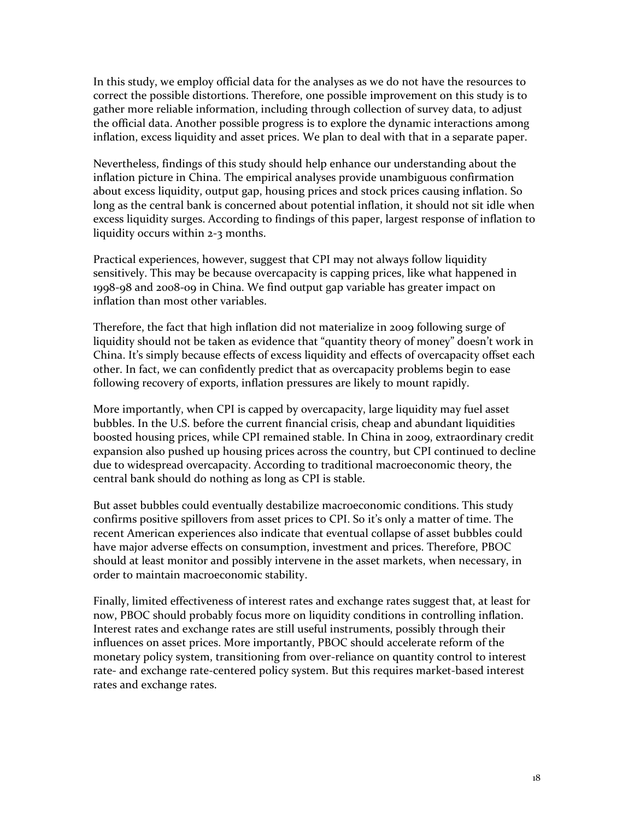In this study, we employ official data for the analyses as we do not have the resources to correct the possible distortions. Therefore, one possible improvement on this study is to gather more reliable information, including through collection of survey data, to adjust the official data. Another possible progress is to explore the dynamic interactions among inflation, excess liquidity and asset prices. We plan to deal with that in a separate paper.

Nevertheless, findings of this study should help enhance our understanding about the inflation picture in China. The empirical analyses provide unambiguous confirmation about excess liquidity, output gap, housing prices and stock prices causing inflation. So long as the central bank is concerned about potential inflation, it should not sit idle when excess liquidity surges. According to findings of this paper, largest response of inflation to liquidity occurs within 2-3 months.

Practical experiences, however, suggest that CPI may not always follow liquidity sensitively. This may be because overcapacity is capping prices, like what happened in 1998-98 and 2008-09 in China. We find output gap variable has greater impact on inflation than most other variables.

Therefore, the fact that high inflation did not materialize in 2009 following surge of liquidity should not be taken as evidence that "quantity theory of money" doesn't work in China. It's simply because effects of excess liquidity and effects of overcapacity offset each other. In fact, we can confidently predict that as overcapacity problems begin to ease following recovery of exports, inflation pressures are likely to mount rapidly.

More importantly, when CPI is capped by overcapacity, large liquidity may fuel asset bubbles. In the U.S. before the current financial crisis, cheap and abundant liquidities boosted housing prices, while CPI remained stable. In China in 2009, extraordinary credit expansion also pushed up housing prices across the country, but CPI continued to decline due to widespread overcapacity. According to traditional macroeconomic theory, the central bank should do nothing as long as CPI is stable.

But asset bubbles could eventually destabilize macroeconomic conditions. This study confirms positive spillovers from asset prices to CPI. So it's only a matter of time. The recent American experiences also indicate that eventual collapse of asset bubbles could have major adverse effects on consumption, investment and prices. Therefore, PBOC should at least monitor and possibly intervene in the asset markets, when necessary, in order to maintain macroeconomic stability.

Finally, limited effectiveness of interest rates and exchange rates suggest that, at least for now, PBOC should probably focus more on liquidity conditions in controlling inflation. Interest rates and exchange rates are still useful instruments, possibly through their influences on asset prices. More importantly, PBOC should accelerate reform of the monetary policy system, transitioning from over-reliance on quantity control to interest rate- and exchange rate-centered policy system. But this requires market-based interest rates and exchange rates.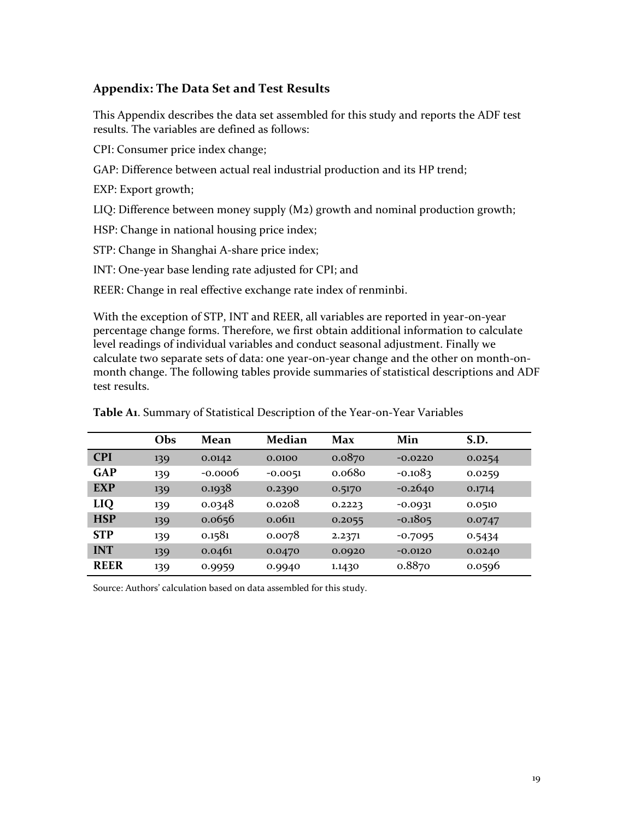# **Appendix: The Data Set and Test Results**

This Appendix describes the data set assembled for this study and reports the ADF test results. The variables are defined as follows:

CPI: Consumer price index change;

GAP: Difference between actual real industrial production and its HP trend;

EXP: Export growth;

LIQ: Difference between money supply (M2) growth and nominal production growth;

HSP: Change in national housing price index;

STP: Change in Shanghai A-share price index;

INT: One-year base lending rate adjusted for CPI; and

REER: Change in real effective exchange rate index of renminbi.

With the exception of STP, INT and REER, all variables are reported in year-on-year percentage change forms. Therefore, we first obtain additional information to calculate level readings of individual variables and conduct seasonal adjustment. Finally we calculate two separate sets of data: one year-on-year change and the other on month-onmonth change. The following tables provide summaries of statistical descriptions and ADF test results.

|             | <b>Obs</b> | Mean      | Median    | Max    | Min       | S.D.   |
|-------------|------------|-----------|-----------|--------|-----------|--------|
| <b>CPI</b>  | 139        | 0.0142    | 0.0100    | 0.0870 | $-0.0220$ | 0.0254 |
| <b>GAP</b>  | 139        | $-0.0006$ | $-0.0051$ | 0.0680 | $-0.1083$ | 0.0259 |
| <b>EXP</b>  | 139        | 0.1938    | 0.2390    | 0.5170 | $-0.2640$ | 0.1714 |
| LIQ         | 139        | 0.0348    | 0.0208    | 0.2223 | $-0.0931$ | 0.0510 |
| <b>HSP</b>  | 139        | 0.0656    | 0.0611    | 0.2055 | $-0.1805$ | 0.0747 |
| <b>STP</b>  | 139        | 0.1581    | 0.0078    | 2.2371 | $-0.7095$ | 0.5434 |
| <b>INT</b>  | 139        | 0.0461    | 0.0470    | 0.0920 | $-0.0120$ | 0.0240 |
| <b>REER</b> | 139        | 0.9959    | 0.9940    | 1.1430 | 0.8870    | 0.0596 |

**Table A1**. Summary of Statistical Description of the Year-on-Year Variables

Source: Authors' calculation based on data assembled for this study.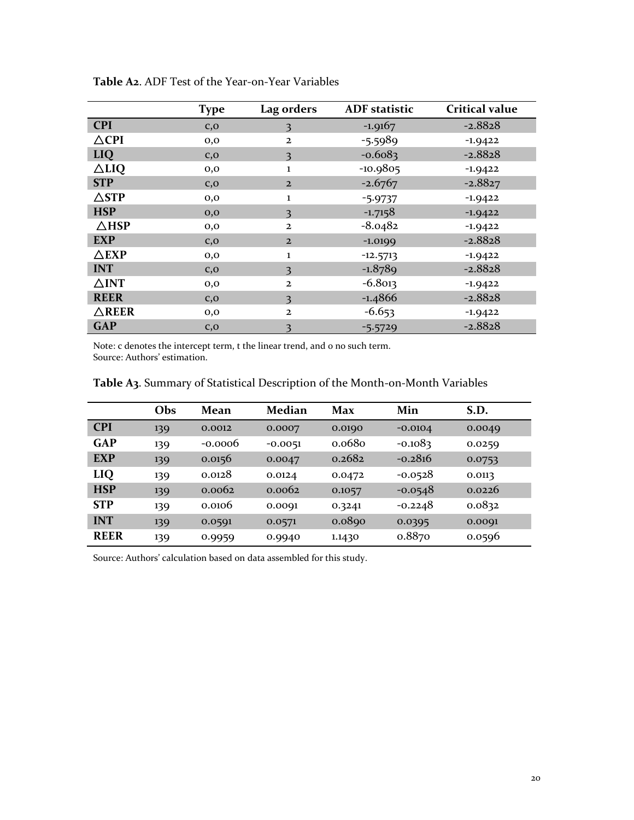|                  | <b>Type</b> | Lag orders     | <b>ADF</b> statistic | <b>Critical value</b> |
|------------------|-------------|----------------|----------------------|-----------------------|
| <b>CPI</b>       | C, O        | 3              | $-1.9167$            | $-2.8828$             |
| $\triangle$ CPI  | 0,0         | $\overline{2}$ | $-5.5989$            | $-1.9422$             |
| LIQ              | C, O        | 3              | $-0.6083$            | $-2.8828$             |
| $\triangle$ LIQ  | O, O        | $\mathbf{1}$   | $-10.9805$           | $-1.9422$             |
| <b>STP</b>       | C, O        | $\overline{2}$ | $-2.6767$            | $-2.8827$             |
| $\triangle$ STP  | 0,0         | 1              | $-5.9737$            | $-1.9422$             |
| <b>HSP</b>       | O, O        | $\mathbf{3}$   | $-1.7158$            | $-1.9422$             |
| $\triangle$ HSP  | O, O        | $\overline{2}$ | $-8.0482$            | $-1.9422$             |
| <b>EXP</b>       | C, O        | $\overline{2}$ | $-1.0199$            | $-2.8828$             |
| $\triangle$ EXP  | O, O        | 1              | $-12.5713$           | $-1.9422$             |
| <b>INT</b>       | C, O        | $\mathbf{3}$   | $-1.8789$            | $-2.8828$             |
| $\Delta$ INT     | O, O        | $\overline{2}$ | $-6.8013$            | $-1.9422$             |
| <b>REER</b>      | C, O        | 3              | $-1.4866$            | $-2.8828$             |
| $\triangle$ REER | O, O        | $\overline{2}$ | $-6.653$             | $-1.9422$             |
| <b>GAP</b>       | C, O        |                | $-5.5729$            | $-2.8828$             |

**Table A2**. ADF Test of the Year-on-Year Variables

Note: c denotes the intercept term, t the linear trend, and o no such term.

Source: Authors' estimation.

|             | Obs | Mean      | Median    | Max    | Min       | S.D.   |
|-------------|-----|-----------|-----------|--------|-----------|--------|
| <b>CPI</b>  | 139 | 0.0012    | 0.0007    | 0.0190 | $-0.0104$ | 0.0049 |
| <b>GAP</b>  | 139 | $-0.0006$ | $-0.0051$ | 0.0680 | $-0.1083$ | 0.0259 |
| <b>EXP</b>  | 139 | 0.0156    | 0.0047    | 0.2682 | $-0.2816$ | 0.0753 |
| LIQ         | 139 | 0.0128    | 0.0124    | 0.0472 | $-0.0528$ | 0.0113 |
| <b>HSP</b>  | 139 | 0.0062    | 0.0062    | 0.1057 | $-0.0548$ | 0.0226 |
| <b>STP</b>  | 139 | 0.0106    | 0.0001    | 0.3241 | $-0.2248$ | 0.0832 |
| <b>INT</b>  | 139 | 0.0591    | 0.0571    | 0.0890 | 0.0395    | 0.0091 |
| <b>REER</b> | 139 | 0.9959    | 0.9940    | 1.1430 | 0.8870    | 0.0596 |

**Table A3**. Summary of Statistical Description of the Month-on-Month Variables

Source: Authors' calculation based on data assembled for this study.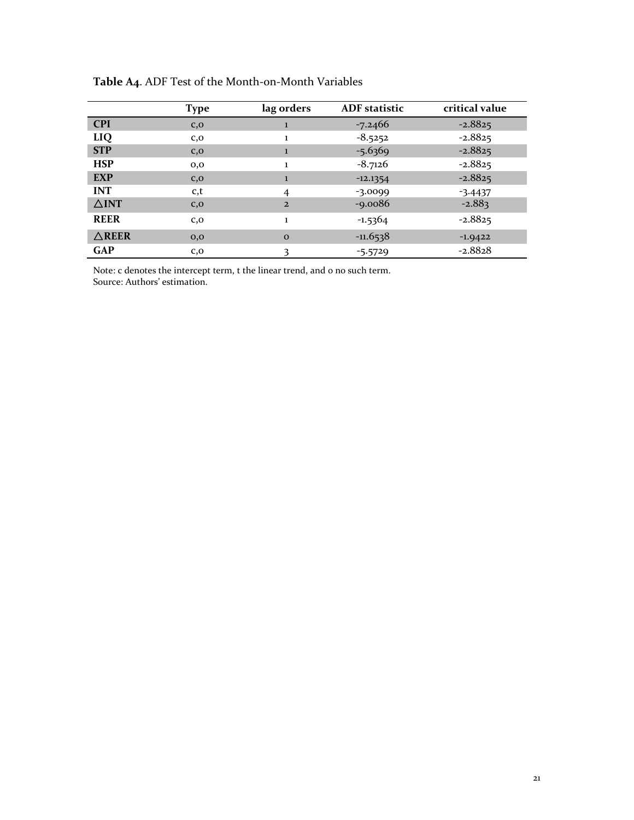|                  | <b>Type</b> | lag orders     | <b>ADF</b> statistic | critical value |
|------------------|-------------|----------------|----------------------|----------------|
| <b>CPI</b>       | C, O        | 1              | $-7.2466$            | $-2.8825$      |
| LIQ              | C, O        | 1              | $-8.5252$            | $-2.8825$      |
| <b>STP</b>       | C, O        | 1              | $-5.6369$            | $-2.8825$      |
| <b>HSP</b>       | 0,0         | 1              | $-8.7126$            | $-2.8825$      |
| <b>EXP</b>       | C, O        | 1              | $-12.1354$           | $-2.8825$      |
| <b>INT</b>       | c,t         | 4              | $-3.0099$            | $-3.4437$      |
| $\triangle$ INT  | C, O        | $\overline{2}$ | $-9.0086$            | $-2.883$       |
| <b>REER</b>      | C, O        | 1              | $-1.5364$            | $-2.8825$      |
| $\triangle$ REER | 0,0         | $\mathbf{O}$   | $-11.6538$           | $-1.9422$      |
| <b>GAP</b>       | C, O        | 3              | $-5.5729$            | $-2.8828$      |

**Table A4**. ADF Test of the Month-on-Month Variables

Note: c denotes the intercept term, t the linear trend, and o no such term. Source: Authors' estimation.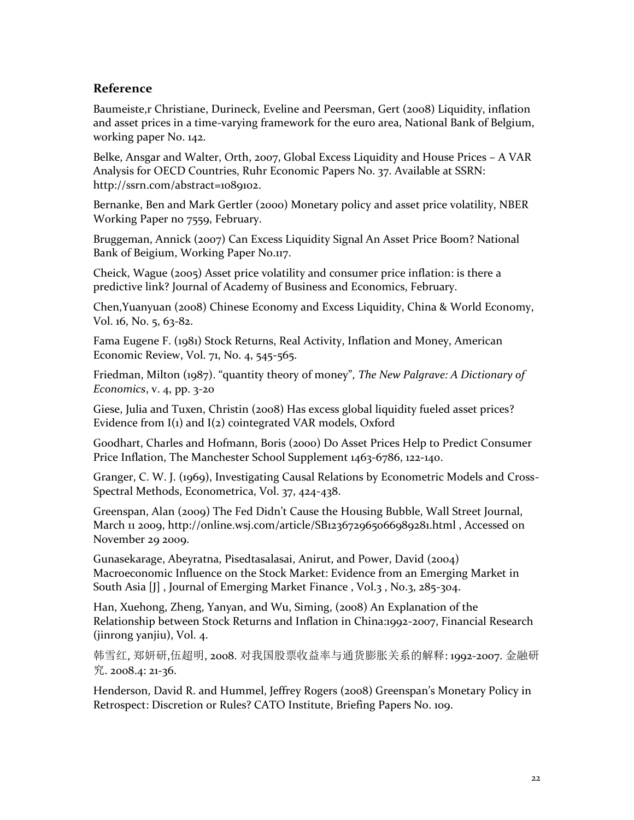# **Reference**

Baumeiste,r Christiane, Durineck, Eveline and Peersman, Gert (2008) Liquidity, inflation and asset prices in a time-varying framework for the euro area, National Bank of Belgium, working paper No. 142.

Belke, Ansgar and Walter, Orth, 2007, Global Excess Liquidity and House Prices – A VAR Analysis for OECD Countries, Ruhr Economic Papers No. 37. Available at SSRN: [http://ssrn.com/abstract=1089102.](http://ssrn.com/abstract=1089102)

Bernanke, Ben and Mark Gertler (2000) Monetary policy and asset price volatility, NBER Working Paper no 7559, February.

Bruggeman, Annick (2007) Can Excess Liquidity Signal An Asset Price Boom? National Bank of Beigium, Working Paper No.117.

Cheick, Wague (2005) Asset price volatility and consumer price inflation: is there a predictive link? Journal of Academy of Business and Economics, February.

Chen,Yuanyuan (2008) Chinese Economy and Excess Liquidity, China & World Economy, Vol. 16, No. 5, 63-82.

Fama Eugene F. (1981) Stock Returns, Real Activity, Inflation and Money, American Economic Review, Vol. 71, No. 4, 545-565.

Friedman, Milton (1987). "quantity theory of money", *The New Palgrave: A Dictionary of Economics*, v. 4, pp. 3-20

Giese, Julia and Tuxen, Christin (2008) Has excess global liquidity fueled asset prices? Evidence from I(1) and I(2) cointegrated VAR models, Oxford

Goodhart, Charles and Hofmann, Boris (2000) Do Asset Prices Help to Predict Consumer Price Inflation, The Manchester School Supplement 1463-6786, 122-140.

Granger, C. W. J. (1969), Investigating Causal Relations by Econometric Models and Cross-Spectral Methods, Econometrica, Vol. 37, 424-438.

Greenspan, Alan (2009) The Fed Didn't Cause the Housing Bubble, Wall Street Journal, March 11 2009, http://online.wsj.com/article/SB123672965066989281.html , Accessed on November 29 2009.

Gunasekarage, Abeyratna, Pisedtasalasai, Anirut, and Power, David (2004) Macroeconomic Influence on the Stock Market: Evidence from an Emerging Market in South Asia [J], Journal of Emerging Market Finance, Vol.3, No.3, 285-304.

Han, Xuehong, Zheng, Yanyan, and Wu, Siming, (2008) An Explanation of the Relationship between Stock Returns and Inflation in China:1992-2007, Financial Research (jinrong yanjiu), Vol. 4.

韩雪红, 郑妍研,伍超明, 2008. 对我国股票收益率与通货膨胀关系的解释: 1992-2007. 金融研 究. 2008.4: 21-36.

Henderson, David R. and Hummel, Jeffrey Rogers (2008) Greenspan's Monetary Policy in Retrospect: Discretion or Rules? CATO Institute, Briefing Papers No. 109.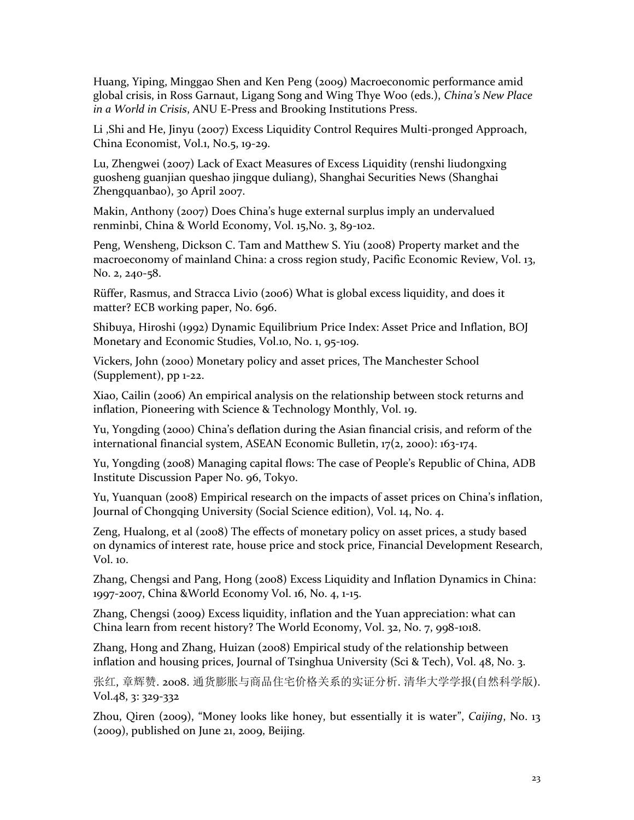Huang, Yiping, Minggao Shen and Ken Peng (2009) Macroeconomic performance amid global crisis, in Ross Garnaut, Ligang Song and Wing Thye Woo (eds.), *China's New Place in a World in Crisis*, ANU E-Press and Brooking Institutions Press.

Li ,Shi and He, Jinyu (2007) Excess Liquidity Control Requires Multi-pronged Approach, China Economist, Vol.1, No.5, 19-29.

Lu, Zhengwei (2007) Lack of Exact Measures of Excess Liquidity (renshi liudongxing guosheng guanjian queshao jingque duliang), Shanghai Securities News (Shanghai Zhengquanbao), 30 April 2007.

Makin, Anthony (2007) Does China's huge external surplus imply an undervalued renminbi, China & World Economy, Vol. 15,No. 3, 89-102.

Peng, Wensheng, Dickson C. Tam and Matthew S. Yiu (2008) Property market and the macroeconomy of mainland China: a cross region study, Pacific Economic Review, Vol. 13, No. 2, 240-58.

Rüffer, Rasmus, and Stracca Livio (2006) What is global excess liquidity, and does it matter? ECB working paper, No. 696.

Shibuya, Hiroshi (1992) Dynamic Equilibrium Price Index: Asset Price and Inflation, BOJ Monetary and Economic Studies, Vol.10, No. 1, 95-109.

Vickers, John (2000) Monetary policy and asset prices, The Manchester School (Supplement), pp 1-22.

Xiao, Cailin (2006) An empirical analysis on the relationship between stock returns and inflation, Pioneering with Science & Technology Monthly, Vol. 19.

Yu, Yongding (2000) China's deflation during the Asian financial crisis, and reform of the international financial system, ASEAN Economic Bulletin, 17(2, 2000): 163-174.

Yu, Yongding (2008) Managing capital flows: The case of People's Republic of China, ADB Institute Discussion Paper No. 96, Tokyo.

Yu, Yuanquan (2008) Empirical research on the impacts of asset prices on China's inflation, Journal of Chongqing University (Social Science edition), Vol. 14, No. 4.

Zeng, Hualong, et al (2008) The effects of monetary policy on asset prices, a study based on dynamics of interest rate, house price and stock price, Financial Development Research, Vol. 10.

Zhang, Chengsi and Pang, Hong (2008) Excess Liquidity and Inflation Dynamics in China: 1997-2007, China &World Economy Vol. 16, No. 4, 1-15.

Zhang, Chengsi (2009) Excess liquidity, inflation and the Yuan appreciation: what can China learn from recent history? The World Economy, Vol. 32, No. 7, 998-1018.

Zhang, Hong and Zhang, Huizan (2008) Empirical study of the relationship between inflation and housing prices, Journal of Tsinghua University (Sci & Tech), Vol. 48, No. 3.

张红, 章辉赞. 2008. 通货膨胀与商品住宅价格关系的实证分析. 清华大学学报(自然科学版). Vol.48, 3: 329-332

Zhou, Qiren (2009), "Money looks like honey, but essentially it is water", *Caijing*, No. 13 (2009), published on June 21, 2009, Beijing.